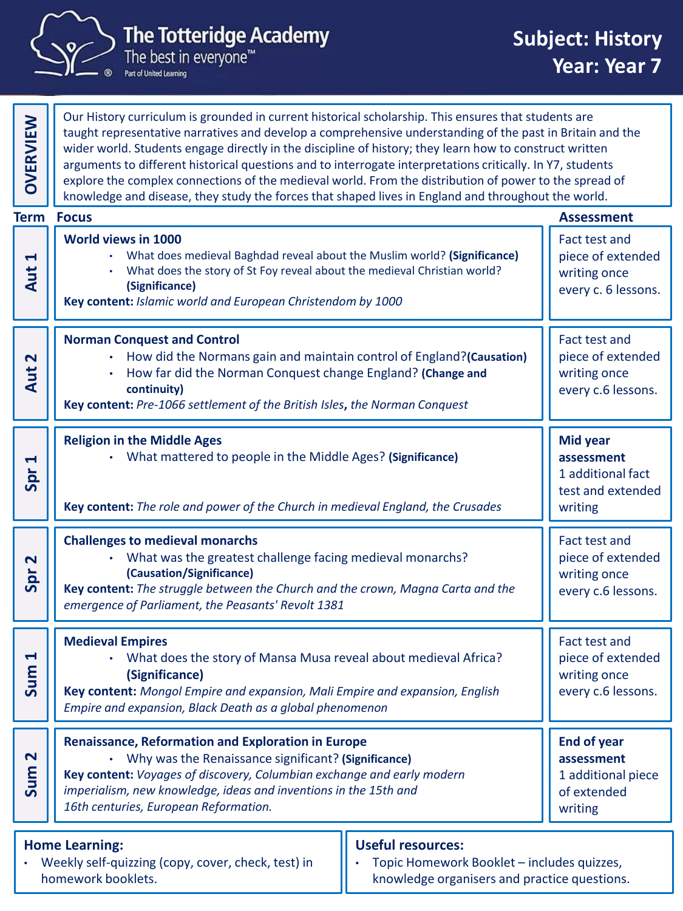

**OVERVIEW**

**The Totteridge Academy** 

The best in everyone<sup>™</sup> Part of United Learning

Our History curriculum is grounded in current historical scholarship. This ensures that students are taught representative narratives and develop a comprehensive understanding of the past in Britain and the wider world. Students engage directly in the discipline of history; they learn how to construct written arguments to different historical questions and to interrogate interpretations critically. In Y7, students explore the complex connections of the medieval world. From the distribution of power to the spread of knowledge and disease, they study the forces that shaped lives in England and throughout the world.

|                                                                                                                                                                                                                                                                                                                                         | <b>Term Focus</b>                                                                                                                                                                                                                                                                                         |  | <b>Assessment</b>                                                                |
|-----------------------------------------------------------------------------------------------------------------------------------------------------------------------------------------------------------------------------------------------------------------------------------------------------------------------------------------|-----------------------------------------------------------------------------------------------------------------------------------------------------------------------------------------------------------------------------------------------------------------------------------------------------------|--|----------------------------------------------------------------------------------|
| 1<br>Aut                                                                                                                                                                                                                                                                                                                                | World views in 1000<br>What does medieval Baghdad reveal about the Muslim world? (Significance)<br>What does the story of St Foy reveal about the medieval Christian world?<br>(Significance)<br>Key content: Islamic world and European Christendom by 1000                                              |  | <b>Fact test and</b><br>piece of extended<br>writing once<br>every c. 6 lessons. |
| $\overline{\mathbf{N}}$<br>Aut                                                                                                                                                                                                                                                                                                          | <b>Norman Conquest and Control</b><br>How did the Normans gain and maintain control of England?(Causation)<br>How far did the Norman Conquest change England? (Change and<br>continuity)<br>Key content: Pre-1066 settlement of the British Isles, the Norman Conquest                                    |  | <b>Fact test and</b><br>piece of extended<br>writing once<br>every c.6 lessons.  |
| Spr <sub>1</sub>                                                                                                                                                                                                                                                                                                                        | <b>Religion in the Middle Ages</b><br>What mattered to people in the Middle Ages? (Significance)<br>Key content: The role and power of the Church in medieval England, the Crusades                                                                                                                       |  | Mid year<br>assessment<br>1 additional fact<br>test and extended<br>writing      |
| $\mathbf{\Omega}$<br>Spr                                                                                                                                                                                                                                                                                                                | <b>Challenges to medieval monarchs</b><br>What was the greatest challenge facing medieval monarchs?<br>(Causation/Significance)<br>Key content: The struggle between the Church and the crown, Magna Carta and the<br>emergence of Parliament, the Peasants' Revolt 1381                                  |  | Fact test and<br>piece of extended<br>writing once<br>every c.6 lessons.         |
| $\blacktriangleleft$<br>Sum                                                                                                                                                                                                                                                                                                             | <b>Medieval Empires</b><br>What does the story of Mansa Musa reveal about medieval Africa?<br>$\bullet$<br>(Significance)<br>Key content: Mongol Empire and expansion, Mali Empire and expansion, English<br>Empire and expansion, Black Death as a global phenomenon                                     |  | Fact test and<br>piece of extended<br>writing once<br>every c.6 lessons.         |
| $\overline{\mathbf{N}}$<br>Sum                                                                                                                                                                                                                                                                                                          | <b>Renaissance, Reformation and Exploration in Europe</b><br>• Why was the Renaissance significant? (Significance)<br>Key content: Voyages of discovery, Columbian exchange and early modern<br>imperialism, new knowledge, ideas and inventions in the 15th and<br>16th centuries, European Reformation. |  | <b>End of year</b><br>assessment<br>1 additional piece<br>of extended<br>writing |
| <b>Home Learning:</b><br><b>Useful resources:</b><br>Material de constitue de la componentation de la constitución de la constitución de la constitución de la constitución de la constitución de la constitución de la constitución de la constitución de la constitución de la co<br>والمستحدث والمستنقذ والمستقلة والمستحدث والمتناس |                                                                                                                                                                                                                                                                                                           |  |                                                                                  |

• Weekly self-quizzing (copy, cover, check, test) in homework booklets. • Topic Homework Booklet – includes quizzes, knowledge organisers and practice questions.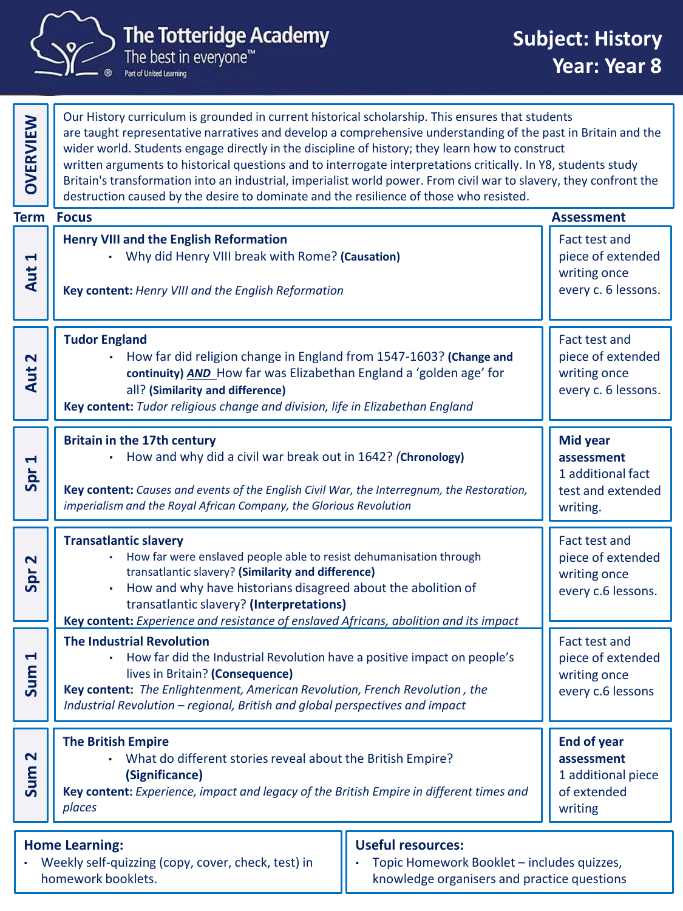

The Totteridge Academy<br>The best in everyone™<br>Parof United Learning

| <b>OVERVIEW</b>                                                                                                                                                                                                            | Our History curriculum is grounded in current historical scholarship. This ensures that students<br>are taught representative narratives and develop a comprehensive understanding of the past in Britain and the<br>wider world. Students engage directly in the discipline of history; they learn how to construct<br>written arguments to historical questions and to interrogate interpretations critically. In Y8, students study<br>Britain's transformation into an industrial, imperialist world power. From civil war to slavery, they confront the<br>destruction caused by the desire to dominate and the resilience of those who resisted. |  |                                                                                     |  |
|----------------------------------------------------------------------------------------------------------------------------------------------------------------------------------------------------------------------------|--------------------------------------------------------------------------------------------------------------------------------------------------------------------------------------------------------------------------------------------------------------------------------------------------------------------------------------------------------------------------------------------------------------------------------------------------------------------------------------------------------------------------------------------------------------------------------------------------------------------------------------------------------|--|-------------------------------------------------------------------------------------|--|
| <b>Term</b>                                                                                                                                                                                                                | <b>Focus</b>                                                                                                                                                                                                                                                                                                                                                                                                                                                                                                                                                                                                                                           |  | <b>Assessment</b>                                                                   |  |
| $\blacktriangleleft$<br>Aut                                                                                                                                                                                                | <b>Henry VIII and the English Reformation</b><br>• Why did Henry VIII break with Rome? (Causation)<br>Key content: Henry VIII and the English Reformation                                                                                                                                                                                                                                                                                                                                                                                                                                                                                              |  | Fact test and<br>piece of extended<br>writing once<br>every c. 6 lessons.           |  |
| Aut 2                                                                                                                                                                                                                      | <b>Tudor England</b><br>How far did religion change in England from 1547-1603? (Change and<br>continuity) AND How far was Elizabethan England a 'golden age' for<br>all? (Similarity and difference)<br>Key content: Tudor religious change and division, life in Elizabethan England                                                                                                                                                                                                                                                                                                                                                                  |  | Fact test and<br>piece of extended<br>writing once<br>every c. 6 lessons.           |  |
| Spr <sub>1</sub>                                                                                                                                                                                                           | <b>Britain in the 17th century</b><br>How and why did a civil war break out in 1642? (Chronology)<br>Key content: Causes and events of the English Civil War, the Interregnum, the Restoration,<br>imperialism and the Royal African Company, the Glorious Revolution                                                                                                                                                                                                                                                                                                                                                                                  |  | <b>Mid year</b><br>assessment<br>1 additional fact<br>test and extended<br>writing. |  |
| $\mathbf{\Omega}$<br>Spr                                                                                                                                                                                                   | <b>Transatlantic slavery</b><br>How far were enslaved people able to resist dehumanisation through<br>transatlantic slavery? (Similarity and difference)<br>How and why have historians disagreed about the abolition of<br>$\bullet$<br>transatlantic slavery? (Interpretations)<br>Key content: Experience and resistance of enslaved Africans, abolition and its impact                                                                                                                                                                                                                                                                             |  | Fact test and<br>piece of extended<br>writing once<br>every c.6 lessons.            |  |
| 4<br>$\mathbf{z}$<br>Sur                                                                                                                                                                                                   | <b>The Industrial Revolution</b><br>How far did the Industrial Revolution have a positive impact on people's<br>lives in Britain? (Consequence)<br>Key content: The Enlightenment, American Revolution, French Revolution, the<br>Industrial Revolution - regional, British and global perspectives and impact                                                                                                                                                                                                                                                                                                                                         |  | Fact test and<br>piece of extended<br>writing once<br>every c.6 lessons             |  |
| $\mathbf{\Omega}$<br>Sum                                                                                                                                                                                                   | <b>The British Empire</b><br>What do different stories reveal about the British Empire?<br>(Significance)<br>Key content: Experience, impact and legacy of the British Empire in different times and<br>places                                                                                                                                                                                                                                                                                                                                                                                                                                         |  | <b>End of year</b><br>assessment<br>1 additional piece<br>of extended<br>writing    |  |
| <b>Useful resources:</b><br><b>Home Learning:</b><br>Weekly self-quizzing (copy, cover, check, test) in<br>Topic Homework Booklet - includes quizzes,<br>homework booklets.<br>knowledge organisers and practice questions |                                                                                                                                                                                                                                                                                                                                                                                                                                                                                                                                                                                                                                                        |  |                                                                                     |  |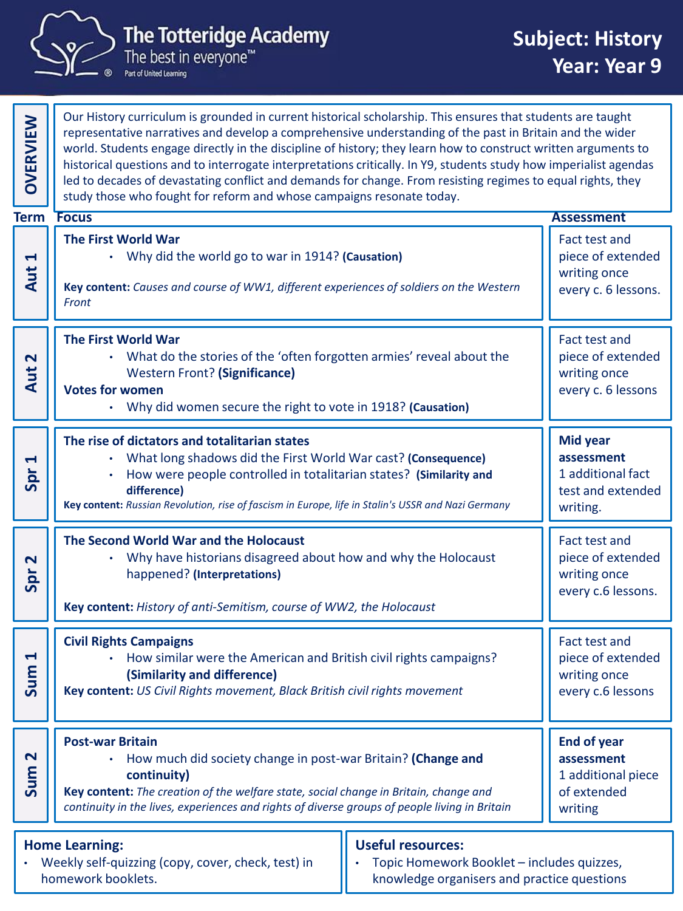

homework booklets.

**The Totteridge Academy** 

The best in everyone<sup>™</sup> Part of United Learning

Our History curriculum is grounded in current historical scholarship. This ensures that students are taught representative narratives and develop a comprehensive understanding of the past in Britain and the wider world. Students engage directly in the discipline of history; they learn how to construct written arguments to historical questions and to interrogate interpretations critically. In Y9, students study how imperialist agendas led to decades of devastating conflict and demands for change. From resisting regimes to equal rights, they **OVERVIEW** study those who fought for reform and whose campaigns resonate today. **The First World War** • Why did the world go to war in 1914? **(Causation) Key content:** *Causes and course of WW1, different experiences of soldiers on the Western Front* Fact test and piece of extended writing once **Aut 1** every c. 6 lessons. **The First World War** • What do the stories of the 'often forgotten armies' reveal about the Western Front? **(Significance) Votes for women** • Why did women secure the right to vote in 1918? **(Causation)** Fact test and piece of extended writing once **Aut 2** every c. 6 lessons **The rise of dictators and totalitarian states** • What long shadows did the First World War cast? **(Consequence)** • How were people controlled in totalitarian states? **(Similarity and difference) Key content:** *Russian Revolution, rise of fascism in Europe, life in Stalin's USSR and Nazi Germany* **Mid year assessment** 1 additional fact test and extended writing. . **Spr 1 The Second World War and the Holocaust** • Why have historians disagreed about how and why the Holocaust happened? **(Interpretations) Key content:** *History of anti-Semitism, course of WW2, the Holocaust* Fact test and piece of extended writing once **Spr 2** every c.6 lessons. **Civil Rights Campaigns** • How similar were the American and British civil rights campaigns? **(Similarity and difference) Key content:** *US Civil Rights movement, Black British civil rights movement* Fact test and piece of extended writing once **Sum 1** every c.6 lessons **Post-war Britain** • How much did society change in post-war Britain? **(Change and continuity) Key content:** *The creation of the welfare state, social change in Britain, change and continuity in the lives, experiences and rights of diverse groups of people living in Britain* **End of year assessment** 1 additional piece of extended writing **Sum 2 Term Assessment Home Learning:** • Weekly self-quizzing (copy, cover, check, test) in **Useful resources:** • Topic Homework Booklet – includes quizzes, **Focus**

knowledge organisers and practice questions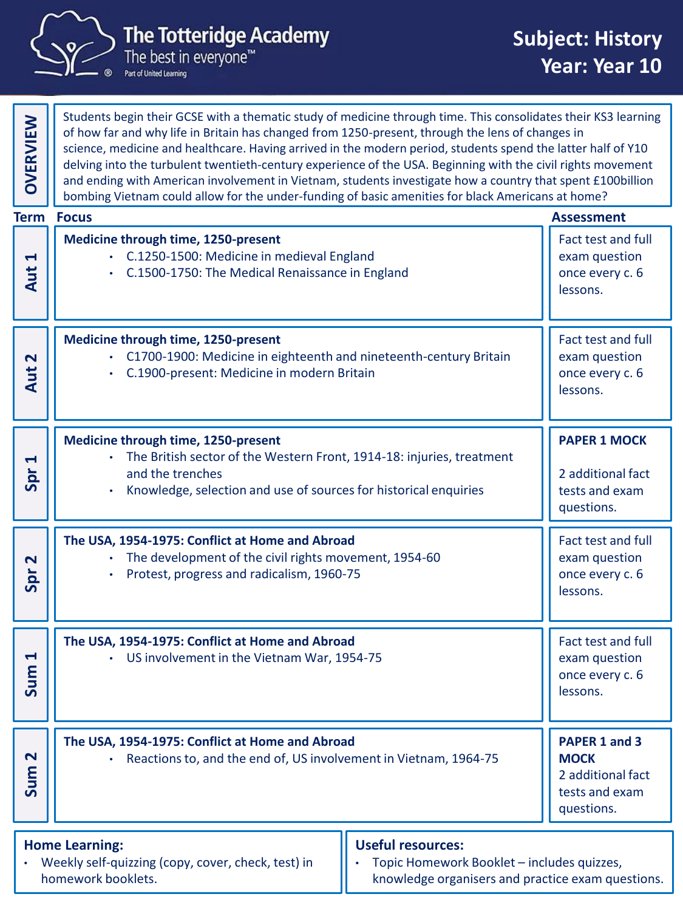

**OVERVIEW**

**The Totteridge Academy** 

The best in everyone™ Part of United Learning

Students begin their GCSE with a thematic study of medicine through time. This consolidates their KS3 learning of how far and why life in Britain has changed from 1250-present, through the lens of changes in science, medicine and healthcare. Having arrived in the modern period, students spend the latter half of Y10 delving into the turbulent twentieth-century experience of the USA. Beginning with the civil rights movement and ending with American involvement in Vietnam, students investigate how a country that spent £100billion bombing Vietnam could allow for the under-funding of basic amenities for black Americans at home?

|                                                   | <b>Term Focus</b>                                                                                                                                                                                    | <b>Assessment</b>                                                                 |  |
|---------------------------------------------------|------------------------------------------------------------------------------------------------------------------------------------------------------------------------------------------------------|-----------------------------------------------------------------------------------|--|
| 1<br>Aut                                          | Medicine through time, 1250-present<br>• C.1250-1500: Medicine in medieval England<br>C.1500-1750: The Medical Renaissance in England                                                                | Fact test and full<br>exam question<br>once every c. 6<br>lessons.                |  |
| $\overline{\mathbf{N}}$<br>Aut                    | Medicine through time, 1250-present<br>• C1700-1900: Medicine in eighteenth and nineteenth-century Britain<br>C.1900-present: Medicine in modern Britain                                             | Fact test and full<br>exam question<br>once every c. 6<br>lessons.                |  |
| 1<br>Spr                                          | Medicine through time, 1250-present<br>The British sector of the Western Front, 1914-18: injuries, treatment<br>and the trenches<br>Knowledge, selection and use of sources for historical enquiries | <b>PAPER 1 MOCK</b><br>2 additional fact<br>tests and exam<br>questions.          |  |
| $\mathbf{z}$<br>Spr                               | The USA, 1954-1975: Conflict at Home and Abroad<br>The development of the civil rights movement, 1954-60<br>Protest, progress and radicalism, 1960-75                                                | Fact test and full<br>exam question<br>once every c. 6<br>lessons.                |  |
| 1<br>Sum                                          | The USA, 1954-1975: Conflict at Home and Abroad<br>US involvement in the Vietnam War, 1954-75<br>ò.                                                                                                  | Fact test and full<br>exam question<br>once every c. 6<br>lessons.                |  |
| $\overline{\mathbf{N}}$<br>Sum                    | The USA, 1954-1975: Conflict at Home and Abroad<br>Reactions to, and the end of, US involvement in Vietnam, 1964-75                                                                                  | PAPER 1 and 3<br><b>MOCK</b><br>2 additional fact<br>tests and exam<br>questions. |  |
| <b>Home Learning:</b><br><b>Useful resources:</b> |                                                                                                                                                                                                      |                                                                                   |  |

• Weekly self-quizzing (copy, cover, check, test) in homework booklets. • Topic Homework Booklet – includes quizzes, knowledge organisers and practice exam questions.